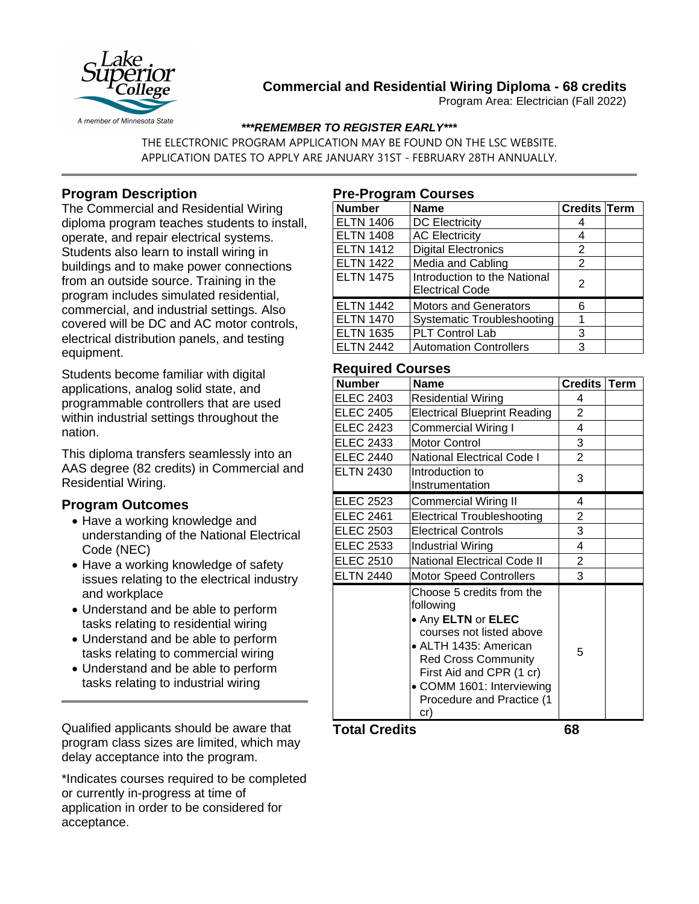

# **Commercial and Residential Wiring Diploma - 68 credits**

Program Area: Electrician (Fall 2022)

### *\*\*\*REMEMBER TO REGISTER EARLY\*\*\**

THE ELECTRONIC PROGRAM APPLICATION MAY BE FOUND ON THE LSC WEBSITE. APPLICATION DATES TO APPLY ARE JANUARY 31ST - FEBRUARY 28TH ANNUALLY.

## **Program Description**

The Commercial and Residential Wiring diploma program teaches students to install, operate, and repair electrical systems. Students also learn to install wiring in buildings and to make power connections from an outside source. Training in the program includes simulated residential, commercial, and industrial settings. Also covered will be DC and AC motor controls, electrical distribution panels, and testing equipment.

Students become familiar with digital applications, analog solid state, and programmable controllers that are used within industrial settings throughout the nation.

This diploma transfers seamlessly into an AAS degree (82 credits) in Commercial and Residential Wiring.

## **Program Outcomes**

- Have a working knowledge and understanding of the National Electrical Code (NEC)
- Have a working knowledge of safety issues relating to the electrical industry and workplace
- Understand and be able to perform tasks relating to residential wiring
- Understand and be able to perform tasks relating to commercial wiring
- Understand and be able to perform tasks relating to industrial wiring

Qualified applicants should be aware that program class sizes are limited, which may delay acceptance into the program.

\*Indicates courses required to be completed or currently in-progress at time of application in order to be considered for acceptance.

### **Pre-Program Courses**

| <b>Number</b>    | <b>Name</b>                       | <b>Credits Term</b> |  |
|------------------|-----------------------------------|---------------------|--|
| <b>ELTN 1406</b> | <b>DC Electricity</b>             |                     |  |
| <b>ELTN 1408</b> | <b>AC Electricity</b>             |                     |  |
| <b>ELTN 1412</b> | <b>Digital Electronics</b>        | 2                   |  |
| <b>ELTN 1422</b> | Media and Cabling                 | 2                   |  |
| <b>ELTN 1475</b> | Introduction to the National      | 2                   |  |
|                  | <b>Electrical Code</b>            |                     |  |
| <b>ELTN 1442</b> | <b>Motors and Generators</b>      | 6                   |  |
| <b>ELTN 1470</b> | <b>Systematic Troubleshooting</b> |                     |  |
| <b>ELTN 1635</b> | PLT Control Lab                   | 3                   |  |
| <b>ELTN 2442</b> | <b>Automation Controllers</b>     | 3                   |  |

### **Required Courses**

| <b>Number</b>    | <b>Name</b>                                                                                                                                                                                                                                  | Credits   Term |  |
|------------------|----------------------------------------------------------------------------------------------------------------------------------------------------------------------------------------------------------------------------------------------|----------------|--|
| <b>ELEC 2403</b> | <b>Residential Wiring</b>                                                                                                                                                                                                                    | 4              |  |
| <b>ELEC 2405</b> | <b>Electrical Blueprint Reading</b>                                                                                                                                                                                                          | $\overline{2}$ |  |
| <b>ELEC 2423</b> | <b>Commercial Wiring I</b>                                                                                                                                                                                                                   | 4              |  |
| <b>ELEC 2433</b> | <b>Motor Control</b>                                                                                                                                                                                                                         | 3              |  |
| <b>ELEC 2440</b> | <b>National Electrical Code I</b>                                                                                                                                                                                                            | $\overline{2}$ |  |
| <b>ELTN 2430</b> | Introduction to<br>Instrumentation                                                                                                                                                                                                           | 3              |  |
| <b>ELEC 2523</b> | Commercial Wiring II                                                                                                                                                                                                                         | 4              |  |
| <b>ELEC 2461</b> | <b>Electrical Troubleshooting</b>                                                                                                                                                                                                            | 2              |  |
| <b>ELEC 2503</b> | <b>Electrical Controls</b>                                                                                                                                                                                                                   | 3              |  |
| ELEC 2533        | Industrial Wiring                                                                                                                                                                                                                            | 4              |  |
| <b>ELEC 2510</b> | <b>National Electrical Code II</b>                                                                                                                                                                                                           | $\overline{2}$ |  |
| <b>ELTN 2440</b> | <b>Motor Speed Controllers</b>                                                                                                                                                                                                               | 3              |  |
|                  | Choose 5 credits from the<br>following<br>• Any ELTN or ELEC<br>courses not listed above<br>• ALTH 1435: American<br><b>Red Cross Community</b><br>First Aid and CPR (1 cr)<br>• COMM 1601: Interviewing<br>Procedure and Practice (1<br>cr) | 5              |  |

**Total Credits 68**